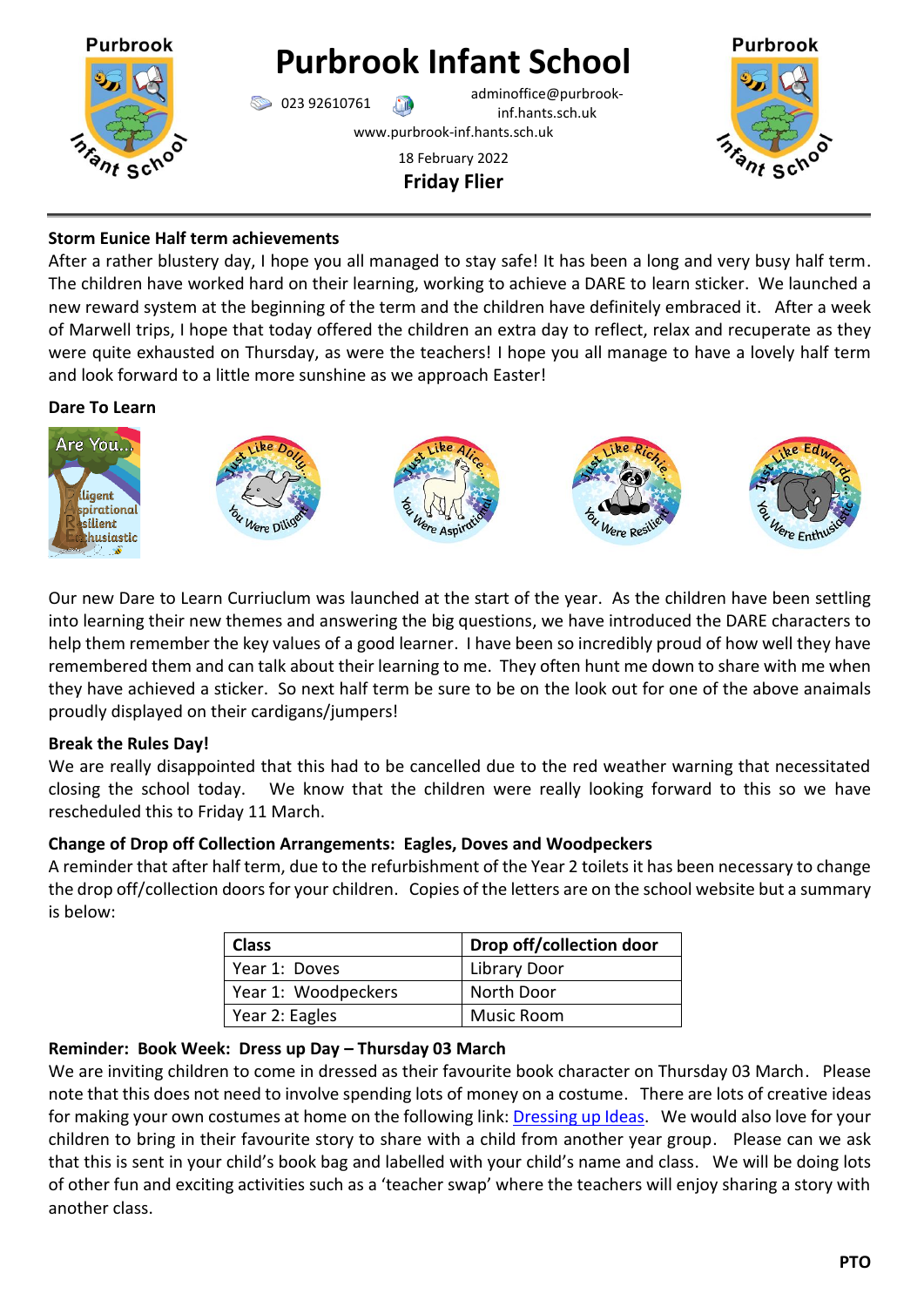

# **Storm Eunice Half term achievements**

After a rather blustery day, I hope you all managed to stay safe! It has been a long and very busy half term. The children have worked hard on their learning, working to achieve a DARE to learn sticker. We launched a new reward system at the beginning of the term and the children have definitely embraced it. After a week of Marwell trips, I hope that today offered the children an extra day to reflect, relax and recuperate as they were quite exhausted on Thursday, as were the teachers! I hope you all manage to have a lovely half term and look forward to a little more sunshine as we approach Easter!

# **Dare To Learn**



Our new Dare to Learn Curriuclum was launched at the start of the year. As the children have been settling into learning their new themes and answering the big questions, we have introduced the DARE characters to help them remember the key values of a good learner. I have been so incredibly proud of how well they have remembered them and can talk about their learning to me. They often hunt me down to share with me when they have achieved a sticker. So next half term be sure to be on the look out for one of the above anaimals proudly displayed on their cardigans/jumpers!

# **Break the Rules Day!**

We are really disappointed that this had to be cancelled due to the red weather warning that necessitated closing the school today. We know that the children were really looking forward to this so we have rescheduled this to Friday 11 March.

# **Change of Drop off Collection Arrangements: Eagles, Doves and Woodpeckers**

A reminder that after half term, due to the refurbishment of the Year 2 toilets it has been necessary to change the drop off/collection doors for your children. Copies of the letters are on the school website but a summary is below:

| <b>Class</b>        | Drop off/collection door |
|---------------------|--------------------------|
| Year 1: Doves       | Library Door             |
| Year 1: Woodpeckers | North Door               |
| Year 2: Eagles      | Music Room               |

# **Reminder: Book Week: Dress up Day – Thursday 03 March**

We are inviting children to come in dressed as their favourite book character on Thursday 03 March. Please note that this does not need to involve spending lots of money on a costume. There are lots of creative ideas for making your own costumes at home on the following link[: Dressing up Ideas.](https://www.worldbookday.com/dressing-up-ideas/) We would also love for your children to bring in their favourite story to share with a child from another year group. Please can we ask that this is sent in your child's book bag and labelled with your child's name and class. We will be doing lots of other fun and exciting activities such as a 'teacher swap' where the teachers will enjoy sharing a story with another class.